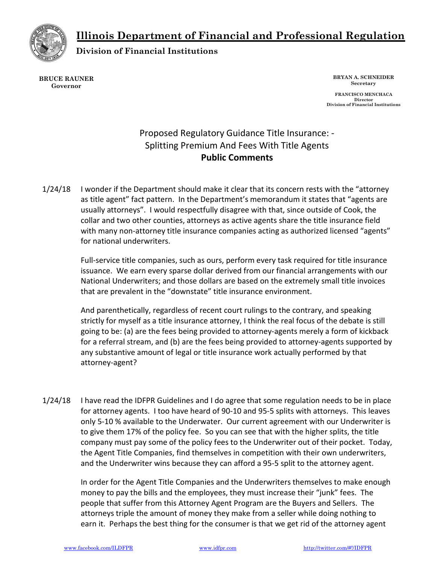Illinois Department of Financial and Professional Regulation



Division of Financial Institutions

BRUCE RAUNER Governor

BRYAN A. SCHNEIDER Secretary

FRANCISCO MENCHACA Director Division of Financial Institutions

# Proposed Regulatory Guidance Title Insurance: - Splitting Premium And Fees With Title Agents Public Comments

1/24/18 I wonder if the Department should make it clear that its concern rests with the "attorney as title agent" fact pattern. In the Department's memorandum it states that "agents are usually attorneys". I would respectfully disagree with that, since outside of Cook, the collar and two other counties, attorneys as active agents share the title insurance field with many non-attorney title insurance companies acting as authorized licensed "agents" for national underwriters.

> Full-service title companies, such as ours, perform every task required for title insurance issuance. We earn every sparse dollar derived from our financial arrangements with our National Underwriters; and those dollars are based on the extremely small title invoices that are prevalent in the "downstate" title insurance environment.

And parenthetically, regardless of recent court rulings to the contrary, and speaking strictly for myself as a title insurance attorney, I think the real focus of the debate is still going to be: (a) are the fees being provided to attorney-agents merely a form of kickback for a referral stream, and (b) are the fees being provided to attorney-agents supported by any substantive amount of legal or title insurance work actually performed by that attorney-agent?

1/24/18 I have read the IDFPR Guidelines and I do agree that some regulation needs to be in place for attorney agents. I too have heard of 90-10 and 95-5 splits with attorneys. This leaves only 5-10 % available to the Underwater. Our current agreement with our Underwriter is to give them 17% of the policy fee. So you can see that with the higher splits, the title company must pay some of the policy fees to the Underwriter out of their pocket. Today, the Agent Title Companies, find themselves in competition with their own underwriters, and the Underwriter wins because they can afford a 95-5 split to the attorney agent.

> In order for the Agent Title Companies and the Underwriters themselves to make enough money to pay the bills and the employees, they must increase their "junk" fees. The people that suffer from this Attorney Agent Program are the Buyers and Sellers. The attorneys triple the amount of money they make from a seller while doing nothing to earn it. Perhaps the best thing for the consumer is that we get rid of the attorney agent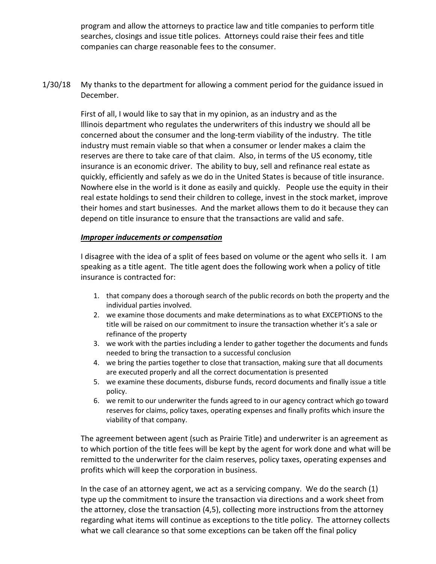program and allow the attorneys to practice law and title companies to perform title searches, closings and issue title polices. Attorneys could raise their fees and title companies can charge reasonable fees to the consumer.

1/30/18 My thanks to the department for allowing a comment period for the guidance issued in December.

> First of all, I would like to say that in my opinion, as an industry and as the Illinois department who regulates the underwriters of this industry we should all be concerned about the consumer and the long-term viability of the industry. The title industry must remain viable so that when a consumer or lender makes a claim the reserves are there to take care of that claim. Also, in terms of the US economy, title insurance is an economic driver. The ability to buy, sell and refinance real estate as quickly, efficiently and safely as we do in the United States is because of title insurance. Nowhere else in the world is it done as easily and quickly. People use the equity in their real estate holdings to send their children to college, invest in the stock market, improve their homes and start businesses. And the market allows them to do it because they can depend on title insurance to ensure that the transactions are valid and safe.

#### Improper inducements or compensation

I disagree with the idea of a split of fees based on volume or the agent who sells it. I am speaking as a title agent. The title agent does the following work when a policy of title insurance is contracted for:

- 1. that company does a thorough search of the public records on both the property and the individual parties involved.
- 2. we examine those documents and make determinations as to what EXCEPTIONS to the title will be raised on our commitment to insure the transaction whether it's a sale or refinance of the property
- 3. we work with the parties including a lender to gather together the documents and funds needed to bring the transaction to a successful conclusion
- 4. we bring the parties together to close that transaction, making sure that all documents are executed properly and all the correct documentation is presented
- 5. we examine these documents, disburse funds, record documents and finally issue a title policy.
- 6. we remit to our underwriter the funds agreed to in our agency contract which go toward reserves for claims, policy taxes, operating expenses and finally profits which insure the viability of that company.

The agreement between agent (such as Prairie Title) and underwriter is an agreement as to which portion of the title fees will be kept by the agent for work done and what will be remitted to the underwriter for the claim reserves, policy taxes, operating expenses and profits which will keep the corporation in business.

In the case of an attorney agent, we act as a servicing company. We do the search (1) type up the commitment to insure the transaction via directions and a work sheet from the attorney, close the transaction (4,5), collecting more instructions from the attorney regarding what items will continue as exceptions to the title policy. The attorney collects what we call clearance so that some exceptions can be taken off the final policy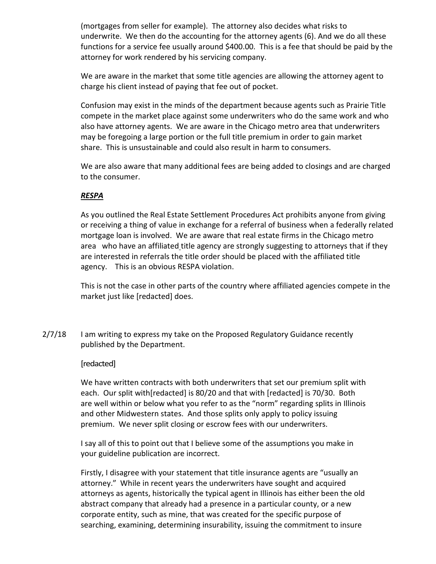(mortgages from seller for example). The attorney also decides what risks to underwrite. We then do the accounting for the attorney agents (6). And we do all these functions for a service fee usually around \$400.00. This is a fee that should be paid by the attorney for work rendered by his servicing company.

We are aware in the market that some title agencies are allowing the attorney agent to charge his client instead of paying that fee out of pocket.

Confusion may exist in the minds of the department because agents such as Prairie Title compete in the market place against some underwriters who do the same work and who also have attorney agents. We are aware in the Chicago metro area that underwriters may be foregoing a large portion or the full title premium in order to gain market share. This is unsustainable and could also result in harm to consumers.

We are also aware that many additional fees are being added to closings and are charged to the consumer.

# RESPA

As you outlined the Real Estate Settlement Procedures Act prohibits anyone from giving or receiving a thing of value in exchange for a referral of business when a federally related mortgage loan is involved. We are aware that real estate firms in the Chicago metro area who have an affiliated title agency are strongly suggesting to attorneys that if they are interested in referrals the title order should be placed with the affiliated title agency. This is an obvious RESPA violation.

This is not the case in other parts of the country where affiliated agencies compete in the market just like [redacted] does.

2/7/18 I am writing to express my take on the Proposed Regulatory Guidance recently published by the Department.

#### [redacted]

We have written contracts with both underwriters that set our premium split with each. Our split with[redacted] is 80/20 and that with [redacted] is 70/30. Both are well within or below what you refer to as the "norm" regarding splits in Illinois and other Midwestern states. And those splits only apply to policy issuing premium. We never split closing or escrow fees with our underwriters.

I say all of this to point out that I believe some of the assumptions you make in your guideline publication are incorrect.

Firstly, I disagree with your statement that title insurance agents are "usually an attorney." While in recent years the underwriters have sought and acquired attorneys as agents, historically the typical agent in Illinois has either been the old abstract company that already had a presence in a particular county, or a new corporate entity, such as mine, that was created for the specific purpose of searching, examining, determining insurability, issuing the commitment to insure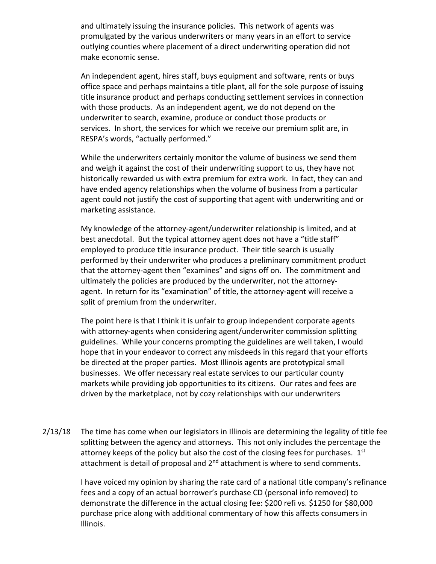and ultimately issuing the insurance policies. This network of agents was promulgated by the various underwriters or many years in an effort to service outlying counties where placement of a direct underwriting operation did not make economic sense.

An independent agent, hires staff, buys equipment and software, rents or buys office space and perhaps maintains a title plant, all for the sole purpose of issuing title insurance product and perhaps conducting settlement services in connection with those products. As an independent agent, we do not depend on the underwriter to search, examine, produce or conduct those products or services. In short, the services for which we receive our premium split are, in RESPA's words, "actually performed."

While the underwriters certainly monitor the volume of business we send them and weigh it against the cost of their underwriting support to us, they have not historically rewarded us with extra premium for extra work. In fact, they can and have ended agency relationships when the volume of business from a particular agent could not justify the cost of supporting that agent with underwriting and or marketing assistance.

My knowledge of the attorney-agent/underwriter relationship is limited, and at best anecdotal. But the typical attorney agent does not have a "title staff" employed to produce title insurance product. Their title search is usually performed by their underwriter who produces a preliminary commitment product that the attorney-agent then "examines" and signs off on. The commitment and ultimately the policies are produced by the underwriter, not the attorneyagent. In return for its "examination" of title, the attorney-agent will receive a split of premium from the underwriter.

The point here is that I think it is unfair to group independent corporate agents with attorney-agents when considering agent/underwriter commission splitting guidelines. While your concerns prompting the guidelines are well taken, I would hope that in your endeavor to correct any misdeeds in this regard that your efforts be directed at the proper parties. Most Illinois agents are prototypical small businesses. We offer necessary real estate services to our particular county markets while providing job opportunities to its citizens. Our rates and fees are driven by the marketplace, not by cozy relationships with our underwriters

2/13/18 The time has come when our legislators in Illinois are determining the legality of title fee splitting between the agency and attorneys. This not only includes the percentage the attorney keeps of the policy but also the cost of the closing fees for purchases.  $1<sup>st</sup>$ attachment is detail of proposal and  $2<sup>nd</sup>$  attachment is where to send comments.

> I have voiced my opinion by sharing the rate card of a national title company's refinance fees and a copy of an actual borrower's purchase CD (personal info removed) to demonstrate the difference in the actual closing fee: \$200 refi vs. \$1250 for \$80,000 purchase price along with additional commentary of how this affects consumers in Illinois.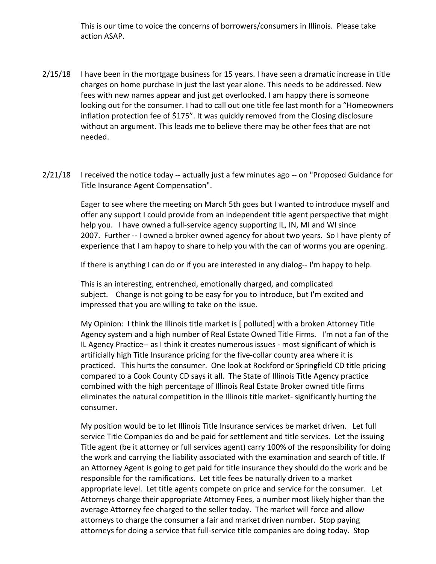This is our time to voice the concerns of borrowers/consumers in Illinois. Please take action ASAP.

- 2/15/18 I have been in the mortgage business for 15 years. I have seen a dramatic increase in title charges on home purchase in just the last year alone. This needs to be addressed. New fees with new names appear and just get overlooked. I am happy there is someone looking out for the consumer. I had to call out one title fee last month for a "Homeowners inflation protection fee of \$175". It was quickly removed from the Closing disclosure without an argument. This leads me to believe there may be other fees that are not needed.
- 2/21/18 I received the notice today -- actually just a few minutes ago -- on "Proposed Guidance for Title Insurance Agent Compensation".

Eager to see where the meeting on March 5th goes but I wanted to introduce myself and offer any support I could provide from an independent title agent perspective that might help you. I have owned a full-service agency supporting IL, IN, MI and WI since 2007. Further -- I owned a broker owned agency for about two years. So I have plenty of experience that I am happy to share to help you with the can of worms you are opening.

If there is anything I can do or if you are interested in any dialog-- I'm happy to help.

This is an interesting, entrenched, emotionally charged, and complicated subject. Change is not going to be easy for you to introduce, but I'm excited and impressed that you are willing to take on the issue.

My Opinion: I think the Illinois title market is [ polluted] with a broken Attorney Title Agency system and a high number of Real Estate Owned Title Firms. I'm not a fan of the IL Agency Practice-- as I think it creates numerous issues - most significant of which is artificially high Title Insurance pricing for the five-collar county area where it is practiced. This hurts the consumer. One look at Rockford or Springfield CD title pricing compared to a Cook County CD says it all. The State of Illinois Title Agency practice combined with the high percentage of Illinois Real Estate Broker owned title firms eliminates the natural competition in the Illinois title market- significantly hurting the consumer.

My position would be to let Illinois Title Insurance services be market driven. Let full service Title Companies do and be paid for settlement and title services. Let the issuing Title agent (be it attorney or full services agent) carry 100% of the responsibility for doing the work and carrying the liability associated with the examination and search of title. If an Attorney Agent is going to get paid for title insurance they should do the work and be responsible for the ramifications. Let title fees be naturally driven to a market appropriate level. Let title agents compete on price and service for the consumer. Let Attorneys charge their appropriate Attorney Fees, a number most likely higher than the average Attorney fee charged to the seller today. The market will force and allow attorneys to charge the consumer a fair and market driven number. Stop paying attorneys for doing a service that full-service title companies are doing today. Stop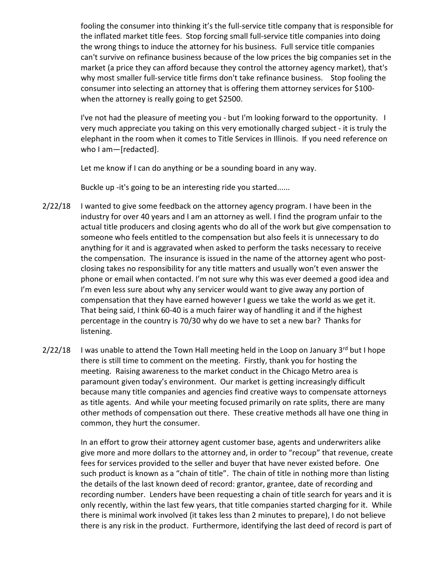fooling the consumer into thinking it's the full-service title company that is responsible for the inflated market title fees. Stop forcing small full-service title companies into doing the wrong things to induce the attorney for his business. Full service title companies can't survive on refinance business because of the low prices the big companies set in the market (a price they can afford because they control the attorney agency market), that's why most smaller full-service title firms don't take refinance business. Stop fooling the consumer into selecting an attorney that is offering them attorney services for \$100 when the attorney is really going to get \$2500.

I've not had the pleasure of meeting you - but I'm looking forward to the opportunity. I very much appreciate you taking on this very emotionally charged subject - it is truly the elephant in the room when it comes to Title Services in Illinois. If you need reference on who I am—[redacted].

Let me know if I can do anything or be a sounding board in any way.

Buckle up -it's going to be an interesting ride you started......

- 2/22/18 I wanted to give some feedback on the attorney agency program. I have been in the industry for over 40 years and I am an attorney as well. I find the program unfair to the actual title producers and closing agents who do all of the work but give compensation to someone who feels entitled to the compensation but also feels it is unnecessary to do anything for it and is aggravated when asked to perform the tasks necessary to receive the compensation. The insurance is issued in the name of the attorney agent who postclosing takes no responsibility for any title matters and usually won't even answer the phone or email when contacted. I'm not sure why this was ever deemed a good idea and I'm even less sure about why any servicer would want to give away any portion of compensation that they have earned however I guess we take the world as we get it. That being said, I think 60-40 is a much fairer way of handling it and if the highest percentage in the country is 70/30 why do we have to set a new bar? Thanks for listening.
- $2/22/18$  I was unable to attend the Town Hall meeting held in the Loop on January 3<sup>rd</sup> but I hope there is still time to comment on the meeting. Firstly, thank you for hosting the meeting. Raising awareness to the market conduct in the Chicago Metro area is paramount given today's environment. Our market is getting increasingly difficult because many title companies and agencies find creative ways to compensate attorneys as title agents. And while your meeting focused primarily on rate splits, there are many other methods of compensation out there. These creative methods all have one thing in common, they hurt the consumer.

In an effort to grow their attorney agent customer base, agents and underwriters alike give more and more dollars to the attorney and, in order to "recoup" that revenue, create fees for services provided to the seller and buyer that have never existed before. One such product is known as a "chain of title". The chain of title in nothing more than listing the details of the last known deed of record: grantor, grantee, date of recording and recording number. Lenders have been requesting a chain of title search for years and it is only recently, within the last few years, that title companies started charging for it. While there is minimal work involved (it takes less than 2 minutes to prepare), I do not believe there is any risk in the product. Furthermore, identifying the last deed of record is part of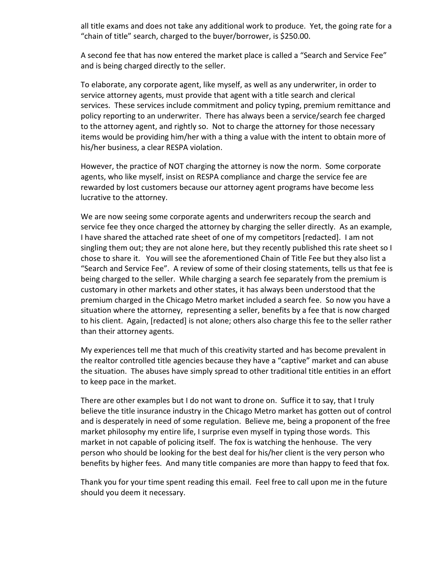all title exams and does not take any additional work to produce. Yet, the going rate for a "chain of title" search, charged to the buyer/borrower, is \$250.00.

A second fee that has now entered the market place is called a "Search and Service Fee" and is being charged directly to the seller.

To elaborate, any corporate agent, like myself, as well as any underwriter, in order to service attorney agents, must provide that agent with a title search and clerical services. These services include commitment and policy typing, premium remittance and policy reporting to an underwriter. There has always been a service/search fee charged to the attorney agent, and rightly so. Not to charge the attorney for those necessary items would be providing him/her with a thing a value with the intent to obtain more of his/her business, a clear RESPA violation.

However, the practice of NOT charging the attorney is now the norm. Some corporate agents, who like myself, insist on RESPA compliance and charge the service fee are rewarded by lost customers because our attorney agent programs have become less lucrative to the attorney.

We are now seeing some corporate agents and underwriters recoup the search and service fee they once charged the attorney by charging the seller directly. As an example, I have shared the attached rate sheet of one of my competitors [redacted]. I am not singling them out; they are not alone here, but they recently published this rate sheet so I chose to share it. You will see the aforementioned Chain of Title Fee but they also list a "Search and Service Fee". A review of some of their closing statements, tells us that fee is being charged to the seller. While charging a search fee separately from the premium is customary in other markets and other states, it has always been understood that the premium charged in the Chicago Metro market included a search fee. So now you have a situation where the attorney, representing a seller, benefits by a fee that is now charged to his client. Again, [redacted] is not alone; others also charge this fee to the seller rather than their attorney agents.

My experiences tell me that much of this creativity started and has become prevalent in the realtor controlled title agencies because they have a "captive" market and can abuse the situation. The abuses have simply spread to other traditional title entities in an effort to keep pace in the market.

There are other examples but I do not want to drone on. Suffice it to say, that I truly believe the title insurance industry in the Chicago Metro market has gotten out of control and is desperately in need of some regulation. Believe me, being a proponent of the free market philosophy my entire life, I surprise even myself in typing those words. This market in not capable of policing itself. The fox is watching the henhouse. The very person who should be looking for the best deal for his/her client is the very person who benefits by higher fees. And many title companies are more than happy to feed that fox.

Thank you for your time spent reading this email. Feel free to call upon me in the future should you deem it necessary.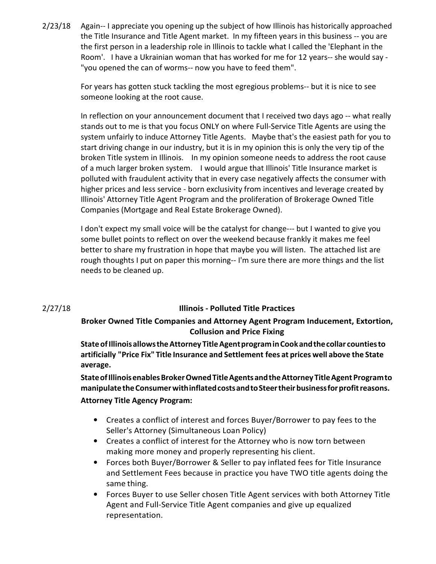2/23/18 Again-- I appreciate you opening up the subject of how Illinois has historically approached the Title Insurance and Title Agent market. In my fifteen years in this business -- you are the first person in a leadership role in Illinois to tackle what I called the 'Elephant in the Room'. I have a Ukrainian woman that has worked for me for 12 years-- she would say - "you opened the can of worms-- now you have to feed them".

> For years has gotten stuck tackling the most egregious problems-- but it is nice to see someone looking at the root cause.

In reflection on your announcement document that I received two days ago -- what really stands out to me is that you focus ONLY on where Full-Service Title Agents are using the system unfairly to induce Attorney Title Agents. Maybe that's the easiest path for you to start driving change in our industry, but it is in my opinion this is only the very tip of the broken Title system in Illinois. In my opinion someone needs to address the root cause of a much larger broken system. I would argue that Illinois' Title Insurance market is polluted with fraudulent activity that in every case negatively affects the consumer with higher prices and less service - born exclusivity from incentives and leverage created by Illinois' Attorney Title Agent Program and the proliferation of Brokerage Owned Title Companies (Mortgage and Real Estate Brokerage Owned).

I don't expect my small voice will be the catalyst for change--- but I wanted to give you some bullet points to reflect on over the weekend because frankly it makes me feel better to share my frustration in hope that maybe you will listen. The attached list are rough thoughts I put on paper this morning-- I'm sure there are more things and the list needs to be cleaned up.

#### 2/27/18 Illinois - Polluted Title Practices

# Broker Owned Title Companies and Attorney Agent Program Inducement, Extortion, Collusion and Price Fixing

State of Illinois allows the Attorney Title Agent program in Cook and the collar counties to artificially "Price Fix" Title Insurance and Settlement fees at prices well above the State average.

State of Illinois enables Broker Owned Title Agents and the Attorney Title Agent Program to manipulate the Consumer with inflated costs and to Steer their business for profit reasons. Attorney Title Agency Program:

- Creates a conflict of interest and forces Buyer/Borrower to pay fees to the Seller's Attorney (Simultaneous Loan Policy)
- Creates a conflict of interest for the Attorney who is now torn between making more money and properly representing his client.
- Forces both Buyer/Borrower & Seller to pay inflated fees for Title Insurance and Settlement Fees because in practice you have TWO title agents doing the same thing.
- Forces Buyer to use Seller chosen Title Agent services with both Attorney Title Agent and Full-Service Title Agent companies and give up equalized representation.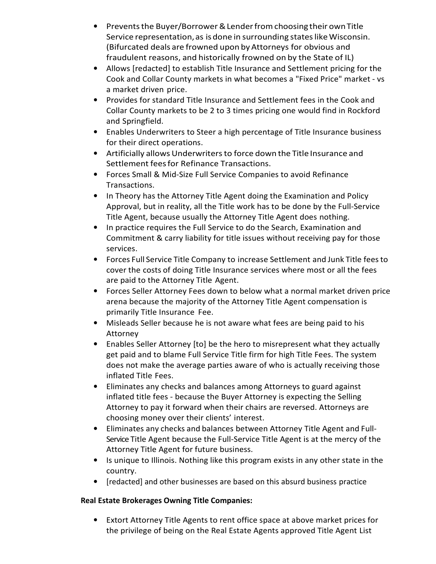- Prevents the Buyer/Borrower & Lender from choosing their own Title Service representation, as is done in surrounding states like Wisconsin. (Bifurcated deals are frowned upon by Attorneys for obvious and fraudulent reasons, and historically frowned on by the State of IL)
- Allows [redacted] to establish Title Insurance and Settlement pricing for the Cook and Collar County markets in what becomes a "Fixed Price" market - vs a market driven price.
- Provides for standard Title Insurance and Settlement fees in the Cook and Collar County markets to be 2 to 3 times pricing one would find in Rockford and Springfield.
- Enables Underwriters to Steer a high percentage of Title Insurance business for their direct operations.
- Artificially allows Underwriters to force down the Title Insurance and Settlement fees for Refinance Transactions.
- Forces Small & Mid-Size Full Service Companies to avoid Refinance Transactions.
- In Theory has the Attorney Title Agent doing the Examination and Policy Approval, but in reality, all the Title work has to be done by the Full-Service Title Agent, because usually the Attorney Title Agent does nothing.
- In practice requires the Full Service to do the Search, Examination and Commitment & carry liability for title issues without receiving pay for those services.
- Forces Full Service Title Company to increase Settlement and Junk Title fees to cover the costs of doing Title Insurance services where most or all the fees are paid to the Attorney Title Agent.
- Forces Seller Attorney Fees down to below what a normal market driven price arena because the majority of the Attorney Title Agent compensation is primarily Title Insurance Fee.
- Misleads Seller because he is not aware what fees are being paid to his Attorney
- Enables Seller Attorney [to] be the hero to misrepresent what they actually get paid and to blame Full Service Title firm for high Title Fees. The system does not make the average parties aware of who is actually receiving those inflated Title Fees.
- Eliminates any checks and balances among Attorneys to guard against inflated title fees - because the Buyer Attorney is expecting the Selling Attorney to pay it forward when their chairs are reversed. Attorneys are choosing money over their clients' interest.
- Eliminates any checks and balances between Attorney Title Agent and Full-Service Title Agent because the Full-Service Title Agent is at the mercy of the Attorney Title Agent for future business.
- Is unique to Illinois. Nothing like this program exists in any other state in the country.
- [redacted] and other businesses are based on this absurd business practice

# Real Estate Brokerages Owning Title Companies:

• Extort Attorney Title Agents to rent office space at above market prices for the privilege of being on the Real Estate Agents approved Title Agent List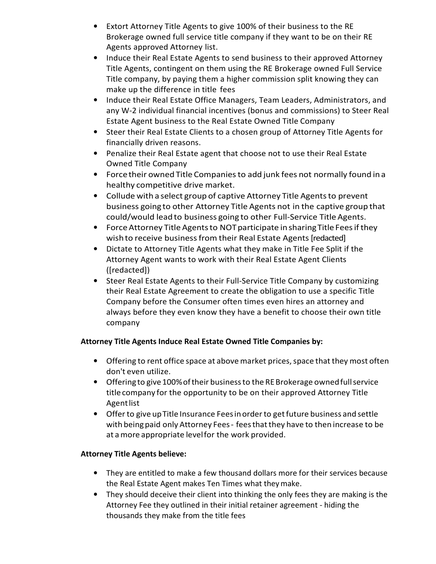- Extort Attorney Title Agents to give 100% of their business to the RE Brokerage owned full service title company if they want to be on their RE Agents approved Attorney list.
- Induce their Real Estate Agents to send business to their approved Attorney Title Agents, contingent on them using the RE Brokerage owned Full Service Title company, by paying them a higher commission split knowing they can make up the difference in title fees
- Induce their Real Estate Office Managers, Team Leaders, Administrators, and any W-2 individual financial incentives (bonus and commissions) to Steer Real Estate Agent business to the Real Estate Owned Title Company
- Steer their Real Estate Clients to a chosen group of Attorney Title Agents for financially driven reasons.
- Penalize their Real Estate agent that choose not to use their Real Estate Owned Title Company
- Force their owned Title Companies to add junk fees not normally found in a healthy competitive drive market.
- Collude with a select group of captive Attorney Title Agents to prevent business going to other Attorney Title Agents not in the captive group that could/would lead to business going to other Full-Service Title Agents.
- Force Attorney Title Agents to NOT participate in sharing Title Fees if they wish to receive business from their Real Estate Agents [redacted]
- Dictate to Attorney Title Agents what they make in Title Fee Split if the Attorney Agent wants to work with their Real Estate Agent Clients ([redacted])
- Steer Real Estate Agents to their Full-Service Title Company by customizing their Real Estate Agreement to create the obligation to use a specific Title Company before the Consumer often times even hires an attorney and always before they even know they have a benefit to choose their own title company

# Attorney Title Agents Induce Real Estate Owned Title Companies by:

- Offering to rent office space at above market prices, space that they most often don't even utilize.
- Offering to give 100% of their business to the RE Brokerage owned full service title company for the opportunity to be on their approved Attorney Title Agent list
- Offer to give up Title Insurance Fees in order to get future business and settle with being paid only Attorney Fees - fees that they have to then increase to be at a more appropriate level for the work provided.

# Attorney Title Agents believe:

- They are entitled to make a few thousand dollars more for their services because the Real Estate Agent makes Ten Times what they make.
- They should deceive their client into thinking the only fees they are making is the Attorney Fee they outlined in their initial retainer agreement - hiding the thousands they make from the title fees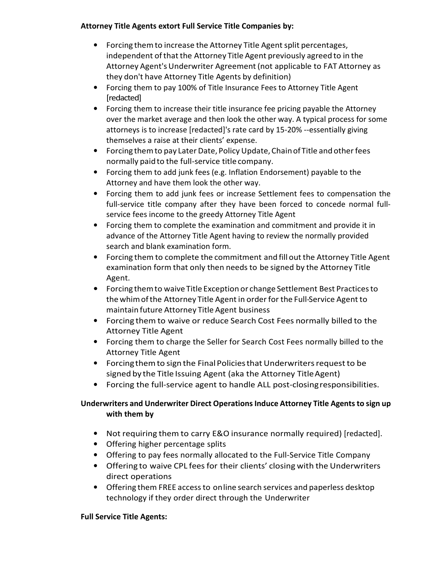# Attorney Title Agents extort Full Service Title Companies by:

- Forcing them to increase the Attorney Title Agent split percentages, independent of that the Attorney Title Agent previously agreed to in the Attorney Agent's Underwriter Agreement (not applicable to FAT Attorney as they don't have Attorney Title Agents by definition)
- Forcing them to pay 100% of Title Insurance Fees to Attorney Title Agent [redacted]
- Forcing them to increase their title insurance fee pricing payable the Attorney over the market average and then look the other way. A typical process for some attorneys is to increase [redacted]'s rate card by 15-20% --essentially giving themselves a raise at their clients' expense.
- Forcing them to pay Later Date, Policy Update, Chain of Title and other fees normally paid to the full-service title company.
- Forcing them to add junk fees (e.g. Inflation Endorsement) payable to the Attorney and have them look the other way.
- Forcing them to add junk fees or increase Settlement fees to compensation the full-service title company after they have been forced to concede normal fullservice fees income to the greedy Attorney Title Agent
- Forcing them to complete the examination and commitment and provide it in advance of the Attorney Title Agent having to review the normally provided search and blank examination form.
- Forcing them to complete the commitment and fill out the Attorney Title Agent examination form that only then needs to be signed by the Attorney Title Agent.
- Forcing them to waive Title Exception or change Settlement Best Practices to the whim of the Attorney Title Agent in order for the Full-Service Agent to maintain future Attorney Title Agent business
- Forcing them to waive or reduce Search Cost Fees normally billed to the Attorney Title Agent
- Forcing them to charge the Seller for Search Cost Fees normally billed to the Attorney Title Agent
- Forcing them to sign the Final Policies that Underwriters request to be signed by the Title Issuing Agent (aka the Attorney Title Agent)
- Forcing the full-service agent to handle ALL post-closing responsibilities.

# Underwriters and Underwriter Direct Operations Induce Attorney Title Agents to sign up with them by

- Not requiring them to carry E&O insurance normally required) [redacted].
- Offering higher percentage splits
- Offering to pay fees normally allocated to the Full-Service Title Company
- Offering to waive CPL fees for their clients' closing with the Underwriters direct operations
- Offering them FREE access to on line search services and paperless desktop technology if they order direct through the Underwriter

# Full Service Title Agents: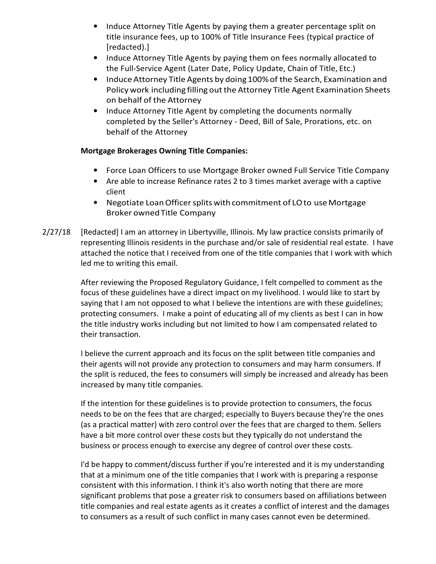- Induce Attorney Title Agents by paying them a greater percentage split on title insurance fees, up to 100% of Title Insurance Fees (typical practice of [redacted).]
- Induce Attorney Title Agents by paying them on fees normally allocated to the Full-Service Agent (Later Date, Policy Update, Chain of Title, Etc.)
- Induce Attorney Title Agents by doing 100% of the Search, Examination and Policy work including filling out the Attorney Title Agent Examination Sheets on behalf of the Attorney
- Induce Attorney Title Agent by completing the documents normally completed by the Seller's Attorney - Deed, Bill of Sale, Prorations, etc. on behalf of the Attorney

#### Mortgage Brokerages Owning Title Companies:

- Force Loan Officers to use Mortgage Broker owned Full Service Title Company
- Are able to increase Refinance rates 2 to 3 times market average with a captive client
- Negotiate Loan Officer splits with commitment of LO to use Mortgage Broker owned Title Company
- 2/27/18 [Redacted] I am an attorney in Libertyville, Illinois. My law practice consists primarily of representing Illinois residents in the purchase and/or sale of residential real estate. I have attached the notice that I received from one of the title companies that I work with which led me to writing this email.

After reviewing the Proposed Regulatory Guidance, I felt compelled to comment as the focus of these guidelines have a direct impact on my livelihood. I would like to start by saying that I am not opposed to what I believe the intentions are with these guidelines; protecting consumers. I make a point of educating all of my clients as best I can in how the title industry works including but not limited to how I am compensated related to their transaction.

I believe the current approach and its focus on the split between title companies and their agents will not provide any protection to consumers and may harm consumers. If the split is reduced, the fees to consumers will simply be increased and already has been increased by many title companies.

If the intention for these guidelines is to provide protection to consumers, the focus needs to be on the fees that are charged; especially to Buyers because they're the ones (as a practical matter) with zero control over the fees that are charged to them. Sellers have a bit more control over these costs but they typically do not understand the business or process enough to exercise any degree of control over these costs.

I'd be happy to comment/discuss further if you're interested and it is my understanding that at a minimum one of the title companies that I work with is preparing a response consistent with this information. I think it's also worth noting that there are more significant problems that pose a greater risk to consumers based on affiliations between title companies and real estate agents as it creates a conflict of interest and the damages to consumers as a result of such conflict in many cases cannot even be determined.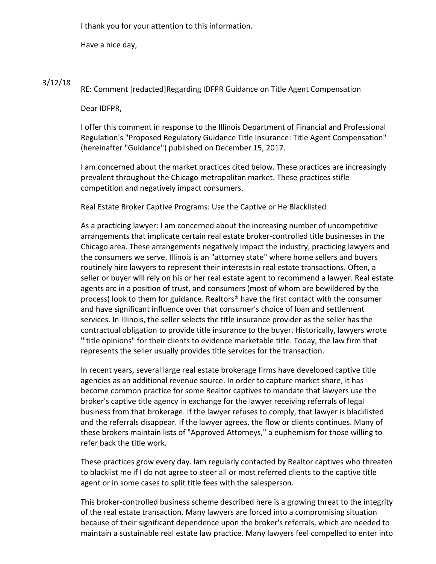I thank you for your attention to this information.

Have a nice day,

#### 3/12/18 RE: Comment [redacted]Regarding IDFPR Guidance on Title Agent Compensation

Dear IDFPR,

I offer this comment in response to the Illinois Department of Financial and Professional Regulation's "Proposed Regulatory Guidance Title Insurance: Title Agent Compensation" (hereinafter "Guidance") published on December 15, 2017.

I am concerned about the market practices cited below. These practices are increasingly prevalent throughout the Chicago metropolitan market. These practices stifle competition and negatively impact consumers.

Real Estate Broker Captive Programs: Use the Captive or He Blacklisted

As a practicing lawyer: I am concerned about the increasing number of uncompetitive arrangements that implicate certain real estate broker-controlled title businesses in the Chicago area. These arrangements negatively impact the industry, practicing lawyers and the consumers we serve. Illinois is an "attorney state" where home sellers and buyers routinely hire lawyers to represent their interests in real estate transactions. Often, a seller or buyer will rely on his or her real estate agent to recommend a lawyer. Real estate agents arc in a position of trust, and consumers (most of whom are bewildered by the process) look to them for guidance. Realtors® have the first contact with the consumer and have significant influence over that consumer's choice of loan and settlement services. In Illinois, the seller selects the title insurance provider as the seller has the contractual obligation to provide title insurance to the buyer. Historically, lawyers wrote '"title opinions" for their clients to evidence marketable title. Today, the law firm that represents the seller usually provides title services for the transaction.

In recent years, several large real estate brokerage firms have developed captive title agencies as an additional revenue source. In order to capture market share, it has become common practice for some Realtor captives to mandate that lawyers use the broker's captive title agency in exchange for the lawyer receiving referrals of legal business from that brokerage. If the lawyer refuses to comply, that lawyer is blacklisted and the referrals disappear. If the lawyer agrees, the flow or clients continues. Many of these brokers maintain lists of "Approved Attorneys," a euphemism for those willing to refer back the title work.

These practices grow every day. lam regularly contacted by Realtor captives who threaten to blacklist me if I do not agree to steer all or most referred clients to the captive title agent or in some cases to split title fees with the salesperson.

This broker-controlled business scheme described here is a growing threat to the integrity of the real estate transaction. Many lawyers are forced into a compromising situation because of their significant dependence upon the broker's referrals, which are needed to maintain a sustainable real estate law practice. Many lawyers feel compelled to enter into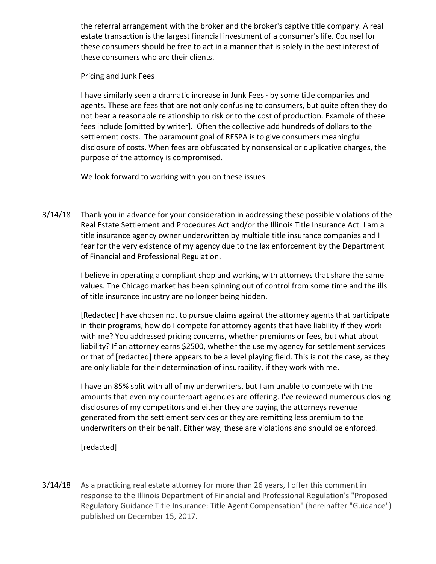the referral arrangement with the broker and the broker's captive title company. A real estate transaction is the largest financial investment of a consumer's life. Counsel for these consumers should be free to act in a manner that is solely in the best interest of these consumers who arc their clients.

Pricing and Junk Fees

I have similarly seen a dramatic increase in Junk Fees'· by some title companies and agents. These are fees that are not only confusing to consumers, but quite often they do not bear a reasonable relationship to risk or to the cost of production. Example of these fees include [omitted by writer]. Often the collective add hundreds of dollars to the settlement costs. The paramount goal of RESPA is to give consumers meaningful disclosure of costs. When fees are obfuscated by nonsensical or duplicative charges, the purpose of the attorney is compromised.

We look forward to working with you on these issues.

3/14/18 Thank you in advance for your consideration in addressing these possible violations of the Real Estate Settlement and Procedures Act and/or the Illinois Title Insurance Act. I am a title insurance agency owner underwritten by multiple title insurance companies and I fear for the very existence of my agency due to the lax enforcement by the Department of Financial and Professional Regulation.

> I believe in operating a compliant shop and working with attorneys that share the same values. The Chicago market has been spinning out of control from some time and the ills of title insurance industry are no longer being hidden.

> [Redacted] have chosen not to pursue claims against the attorney agents that participate in their programs, how do I compete for attorney agents that have liability if they work with me? You addressed pricing concerns, whether premiums or fees, but what about liability? If an attorney earns \$2500, whether the use my agency for settlement services or that of [redacted] there appears to be a level playing field. This is not the case, as they are only liable for their determination of insurability, if they work with me.

> I have an 85% split with all of my underwriters, but I am unable to compete with the amounts that even my counterpart agencies are offering. I've reviewed numerous closing disclosures of my competitors and either they are paying the attorneys revenue generated from the settlement services or they are remitting less premium to the underwriters on their behalf. Either way, these are violations and should be enforced.

[redacted]

3/14/18 As a practicing real estate attorney for more than 26 years, I offer this comment in response to the Illinois Department of Financial and Professional Regulation's "Proposed Regulatory Guidance Title Insurance: Title Agent Compensation" (hereinafter "Guidance") published on December 15, 2017.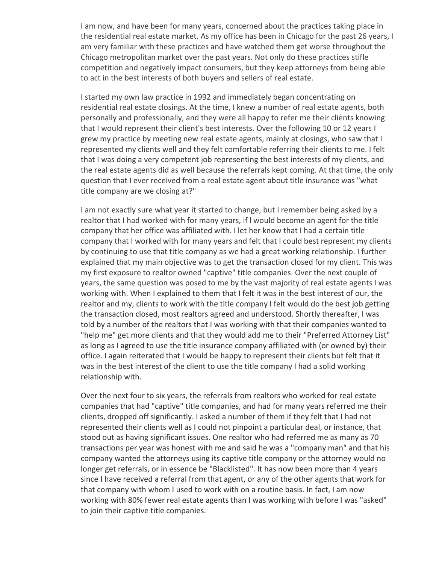I am now, and have been for many years, concerned about the practices taking place in the residential real estate market. As my office has been in Chicago for the past 26 years, I am very familiar with these practices and have watched them get worse throughout the Chicago metropolitan market over the past years. Not only do these practices stifle competition and negatively impact consumers, but they keep attorneys from being able to act in the best interests of both buyers and sellers of real estate.

I started my own law practice in 1992 and immediately began concentrating on residential real estate closings. At the time, I knew a number of real estate agents, both personally and professionally, and they were all happy to refer me their clients knowing that I would represent their client's best interests. Over the following 10 or 12 years I grew my practice by meeting new real estate agents, mainly at closings, who saw that I represented my clients well and they felt comfortable referring their clients to me. I felt that I was doing a very competent job representing the best interests of my clients, and the real estate agents did as well because the referrals kept coming. At that time, the only question that I ever received from a real estate agent about title insurance was "what title company are we closing at?"

I am not exactly sure what year it started to change, but I remember being asked by a realtor that I had worked with for many years, if l would become an agent for the title company that her office was affiliated with. I let her know that I had a certain title company that I worked with for many years and felt that I could best represent my clients by continuing to use that title company as we had a great working relationship. I further explained that my main objective was to get the transaction closed for my client. This was my first exposure to realtor owned "captive" title companies. Over the next couple of years, the same question was posed to me by the vast majority of real estate agents I was working with. When I explained to them that I felt it was in the best interest of our, the realtor and my, clients to work with the title company I felt would do the best job getting the transaction closed, most realtors agreed and understood. Shortly thereafter, I was told by a number of the realtors that I was working with that their companies wanted to "help me" get more clients and that they would add me to their "Preferred Attorney List" as long as I agreed to use the title insurance company affiliated with (or owned by) their office. I again reiterated that I would be happy to represent their clients but felt that it was in the best interest of the client to use the title company I had a solid working relationship with.

Over the next four to six years, the referrals from realtors who worked for real estate companies that had "captive" title companies, and had for many years referred me their clients, dropped off significantly. I asked a number of them if they felt that I had not represented their clients well as I could not pinpoint a particular deal, or instance, that stood out as having significant issues. One realtor who had referred me as many as 70 transactions per year was honest with me and said he was a "company man" and that his company wanted the attorneys using its captive title company or the attorney would no longer get referrals, or in essence be "Blacklisted". It has now been more than 4 years since I have received a referral from that agent, or any of the other agents that work for that company with whom I used to work with on a routine basis. In fact, I am now working with 80% fewer real estate agents than I was working with before I was "asked" to join their captive title companies.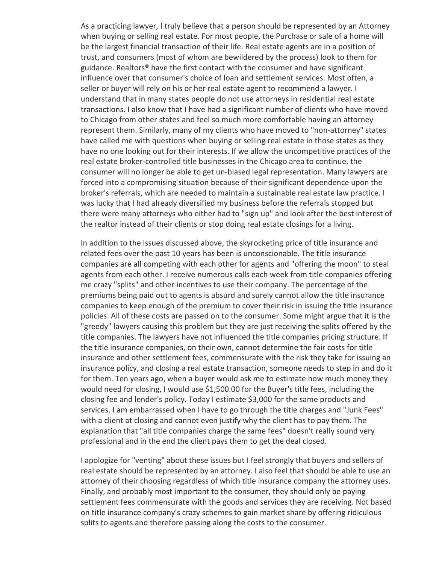As a practicing lawyer, I truly believe that a person should be represented by an Attorney when buying or selling real estate. For most people, the Purchase or sale of a home will be the largest financial transaction of their life. Real estate agents are in a position of trust, and consumers (most of whom are bewildered by the process) look to them for guidance. Realtors® have the first contact with the consumer and have significant influence over that consumer's choice of loan and settlement services. Most often, a seller or buyer will rely on his or her real estate agent to recommend a lawyer. I understand that in many states people do not use attorneys in residential real estate transactions. I also know that I have had a significant number of clients who have moved to Chicago from other states and feel so much more comfortable having an attorney represent them. Similarly, many of my clients who have moved to "non-attorney" states have called me with questions when buying or selling real estate in those states as they have no one looking out for their interests. If we allow the uncompetitive practices of the real estate broker-controlled title businesses in the Chicago area to continue, the consumer will no longer be able to get un-biased legal representation. Many lawyers are forced into a compromising situation because of their significant dependence upon the broker's referrals, which are needed to maintain a sustainable real estate law practice. I was lucky that I had already diversified my business before the referrals stopped but there were many attorneys who either had to "sign up" and look after the best interest of the realtor instead of their clients or stop doing real estate closings for a living.

In addition to the issues discussed above, the skyrocketing price of title insurance and related fees over the past 10 years has been is unconscionable. The title insurance companies are all competing with each other for agents and "offering the moon" to steal agents from each other. I receive numerous calls each week from title companies offering me crazy "splits" and other incentives to use their company. The percentage of the premiums being paid out to agents is absurd and surely cannot allow the title insurance companies to keep enough of the premium to cover their risk in issuing the title insurance policies. All of these costs are passed on to the consumer. Some might argue that it is the "greedy" lawyers causing this problem but they are just receiving the splits offered by the title companies. The lawyers have not influenced the title companies pricing structure. If the title insurance companies, on their own, cannot determine the fair costs for title insurance and other settlement fees, commensurate with the risk they take for issuing an insurance policy, and closing a real estate transaction, someone needs to step in and do it for them. Ten years ago, when a buyer would ask me to estimate how much money they would need for closing, I would use \$1,500.00 for the Buyer's title fees, including the closing fee and lender's policy. Today I estimate \$3,000 for the same products and services. I am embarrassed when I have to go through the title charges and "Junk Fees" with a client at closing and cannot even justify why the client has to pay them. The explanation that "all title companies charge the same fees" doesn't really sound very professional and in the end the client pays them to get the deal closed.

I apologize for "venting" about these issues but I feel strongly that buyers and sellers of real estate should be represented by an attorney. I also feel that should be able to use an attorney of their choosing regardless of which title insurance company the attorney uses. Finally, and probably most important to the consumer, they should only be paying settlement fees commensurate with the goods and services they are receiving. Not based on title insurance company's crazy schemes to gain market share by offering ridiculous splits to agents and therefore passing along the costs to the consumer.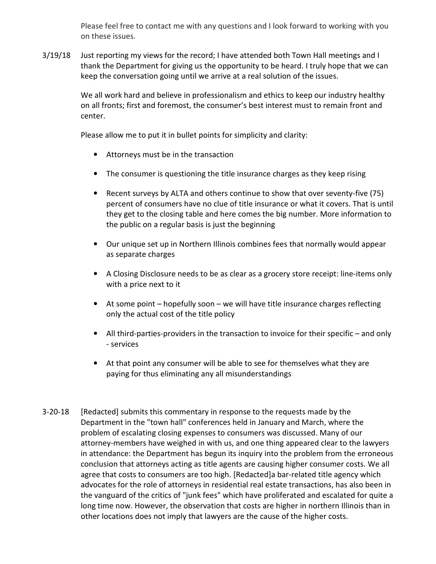Please feel free to contact me with any questions and I look forward to working with you on these issues.

3/19/18 Just reporting my views for the record; I have attended both Town Hall meetings and I thank the Department for giving us the opportunity to be heard. I truly hope that we can keep the conversation going until we arrive at a real solution of the issues.

> We all work hard and believe in professionalism and ethics to keep our industry healthy on all fronts; first and foremost, the consumer's best interest must to remain front and center.

Please allow me to put it in bullet points for simplicity and clarity:

- Attorneys must be in the transaction
- The consumer is questioning the title insurance charges as they keep rising
- Recent surveys by ALTA and others continue to show that over seventy-five (75) percent of consumers have no clue of title insurance or what it covers. That is until they get to the closing table and here comes the big number. More information to the public on a regular basis is just the beginning
- Our unique set up in Northern Illinois combines fees that normally would appear as separate charges
- A Closing Disclosure needs to be as clear as a grocery store receipt: line-items only with a price next to it
- At some point hopefully soon we will have title insurance charges reflecting only the actual cost of the title policy
- All third-parties-providers in the transaction to invoice for their specific and only - services
- At that point any consumer will be able to see for themselves what they are paying for thus eliminating any all misunderstandings
- 3-20-18 [Redacted] submits this commentary in response to the requests made by the Department in the "town hall" conferences held in January and March, where the problem of escalating closing expenses to consumers was discussed. Many of our attorney-members have weighed in with us, and one thing appeared clear to the lawyers in attendance: the Department has begun its inquiry into the problem from the erroneous conclusion that attorneys acting as title agents are causing higher consumer costs. We all agree that costs to consumers are too high. [Redacted]a bar-related title agency which advocates for the role of attorneys in residential real estate transactions, has also been in the vanguard of the critics of "junk fees" which have proliferated and escalated for quite a long time now. However, the observation that costs are higher in northern Illinois than in other locations does not imply that lawyers are the cause of the higher costs.